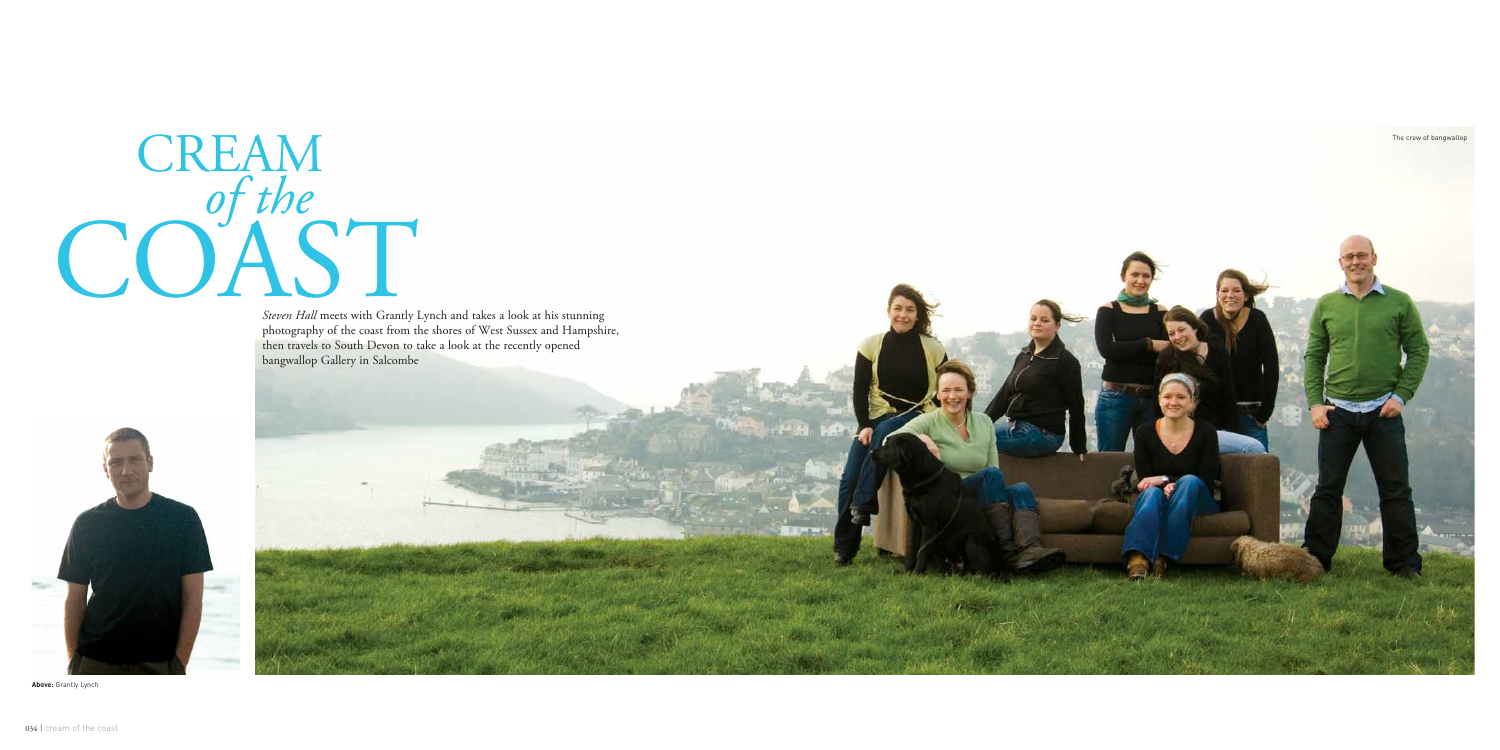## COAST CREAM





**Above:** Grantly Lynch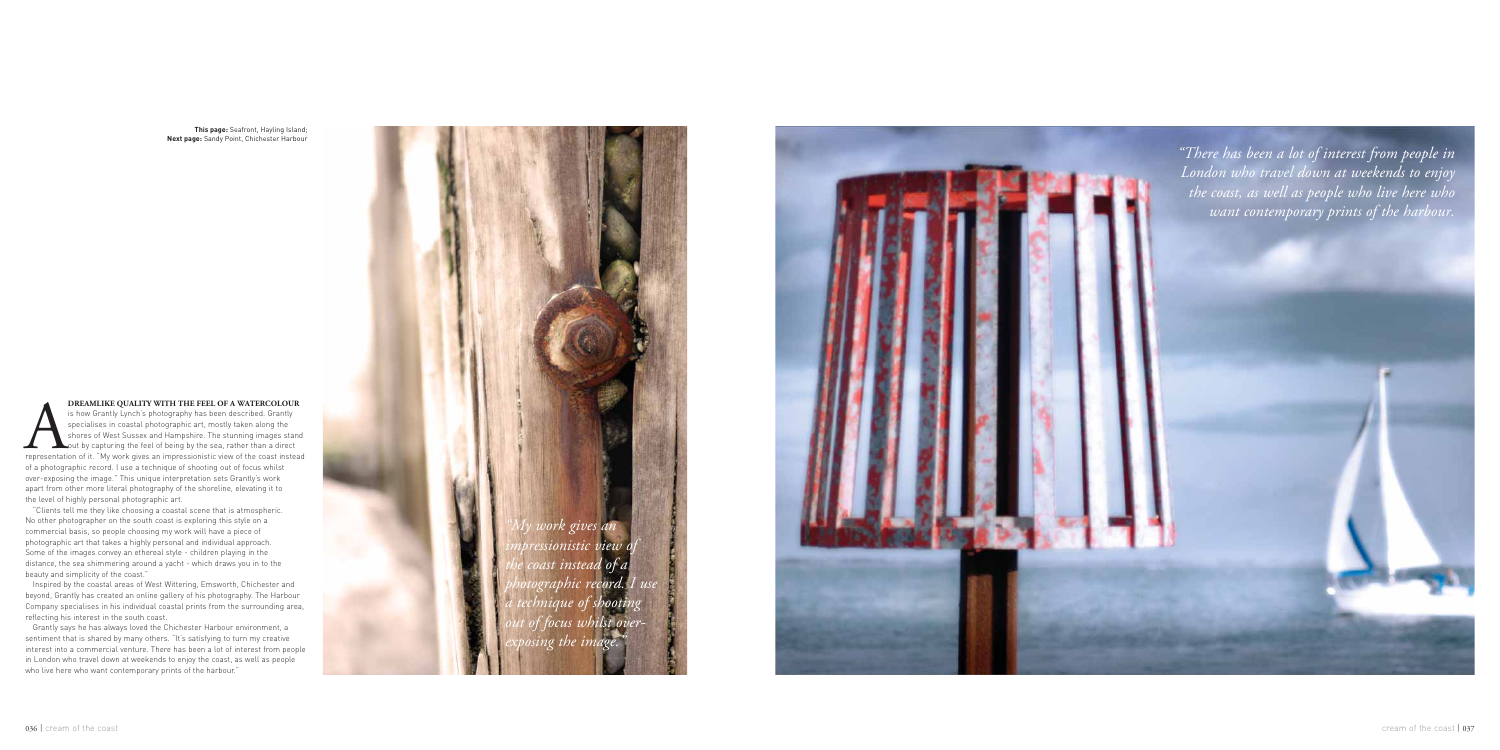*"My work gives an impressionistic view of the coast instead of a photographic record. I use a technique of shooting focus w exposing the image."*



**EXECUTE AN EXECUTE OF A WATERCOLOUR**<br>is how Grantly Lynch's photography has been described. Grantly<br>specialises in coastal photographic art, mostly taken along the<br>shores of West Sussex and Hampshire. The stunning images **DREAMLIKE QUALITY WITH THE FEEL OF A WATERCOLOUR** is how Grantly Lynch's photography has been described. Grantly specialises in coastal photographic art, mostly taken along the shores of West Sussex and Hampshire. The stunning images stand out by capturing the feel of being by the sea, rather than a direct of a photographic record. I use a technique of shooting out of focus whilst over-exposing the image." This unique interpretation sets Grantly's work apart from other more literal photography of the shoreline, elevating it to the level of highly personal photographic art.

Grantly says he has always loved the Chichester Harbour environment, a sentiment that is shared by many others. "It's satisfying to turn my creative interest into a commercial venture. There has been a lot of interest from people in London who travel down at weekends to enjoy the coast, as well as people who live here who want contemporary prints of the harbour."

"Clients tell me they like choosing a coastal scene that is atmospheric. No other photographer on the south coast is exploring this style on a commercial basis, so people choosing my work will have a piece of photographic art that takes a highly personal and individual approach. Some of the images convey an ethereal style - children playing in the distance, the sea shimmering around a yacht - which draws you in to the beauty and simplicity of the coast."

Inspired by the coastal areas of West Wittering, Emsworth, Chichester and beyond, Grantly has created an online gallery of his photography. The Harbour Company specialises in his individual coastal prints from the surrounding area, reflecting his interest in the south coast.

**This page:** Seafront, Hayling Island; **Next page:** Sandy Point, Chichester Harbour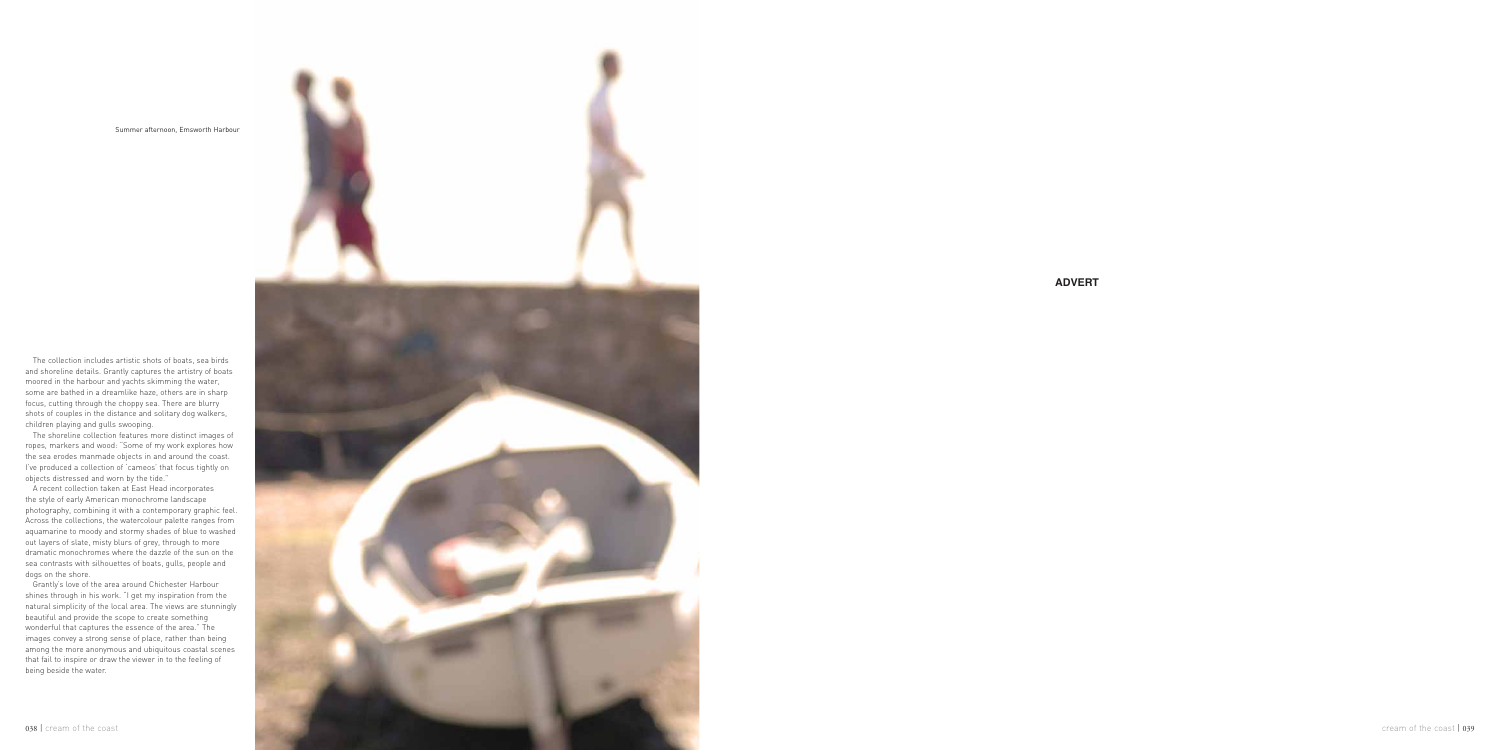

**ADVERT**

The collection includes artistic shots of boats, sea birds and shoreline details. Grantly captures the artistry of boats moored in the harbour and yachts skimming the water, some are bathed in a dreamlike haze, others are in sharp focus, cutting through the choppy sea. There are blurry shots of couples in the distance and solitary dog walkers, children playing and gulls swooping.

The shoreline collection features more distinct images of ropes, markers and wood: "Some of my work explores how the sea erodes manmade objects in and around the coast. I've produced a collection of 'cameos' that focus tightly on objects distressed and worn by the tide."

A recent collection taken at East Head incorporates the style of early American monochrome landscape photography, combining it with a contemporary graphic feel. Across the collections, the watercolour palette ranges from aquamarine to moody and stormy shades of blue to washed out layers of slate, misty blurs of grey, through to more dramatic monochromes where the dazzle of the sun on the sea contrasts with silhouettes of boats, gulls, people and dogs on the shore.

Grantly's love of the area around Chichester Harbour shines through in his work. "I get my inspiration from the natural simplicity of the local area. The views are stunningly beautiful and provide the scope to create something wonderful that captures the essence of the area." The images convey a strong sense of place, rather than being among the more anonymous and ubiquitous coastal scenes that fail to inspire or draw the viewer in to the feeling of being beside the water.

Summer afternoon, Emsworth Harbour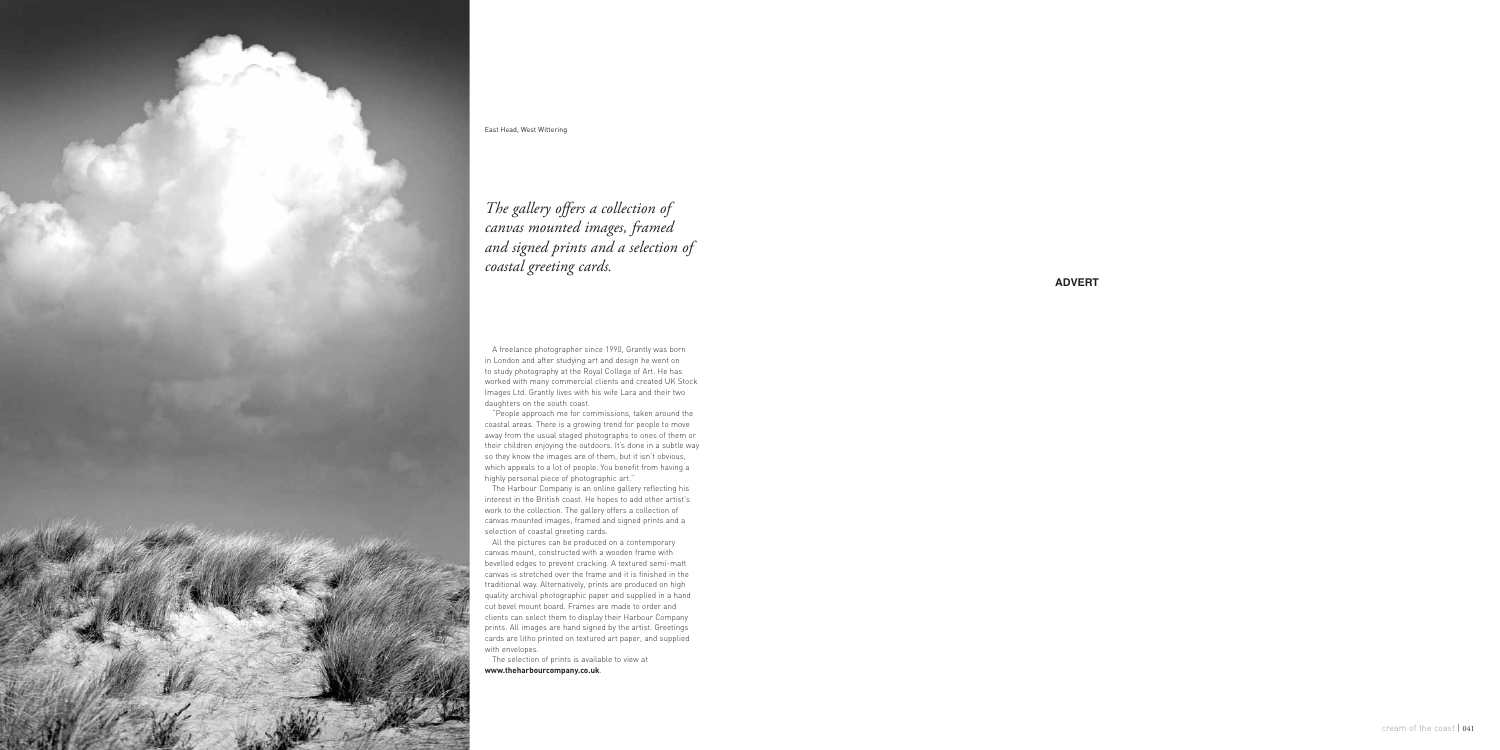**ADVERT**

A freelance photographer since 1990, Grantly was born in London and after studying art and design he went on to study photography at the Royal College of Art. He has worked with many commercial clients and created UK Stock Images Ltd. Grantly lives with his wife Lara and their two daughters on the south coast.

"People approach me for commissions, taken around the coastal areas. There is a growing trend for people to move away from the usual staged photographs to ones of them or their children enjoying the outdoors. It's done in a subtle way so they know the images are of them, but it isn't obvious, which appeals to a lot of people. You benefit from having a highly personal piece of photographic art."

The Harbour Company is an online gallery reflecting his interest in the British coast. He hopes to add other artist's work to the collection. The gallery offers a collection of canvas mounted images, framed and signed prints and a selection of coastal greeting cards.

All the pictures can be produced on a contemporary canvas mount, constructed with a wooden frame with bevelled edges to prevent cracking. A textured semi-matt canvas is stretched over the frame and it is finished in the traditional way. Alternatively, prints are produced on high quality archival photographic paper and supplied in a hand cut bevel mount board. Frames are made to order and clients can select them to display their Harbour Company prints. All images are hand signed by the artist. Greetings cards are litho printed on textured art paper, and supplied with envelopes.

The selection of prints is available to view at **www.theharbourcompany.co.uk** .

## *The gallery offers a collection of canvas mounted images, framed and signed prints and a selection of coastal greeting cards.*



East Head, West Wittering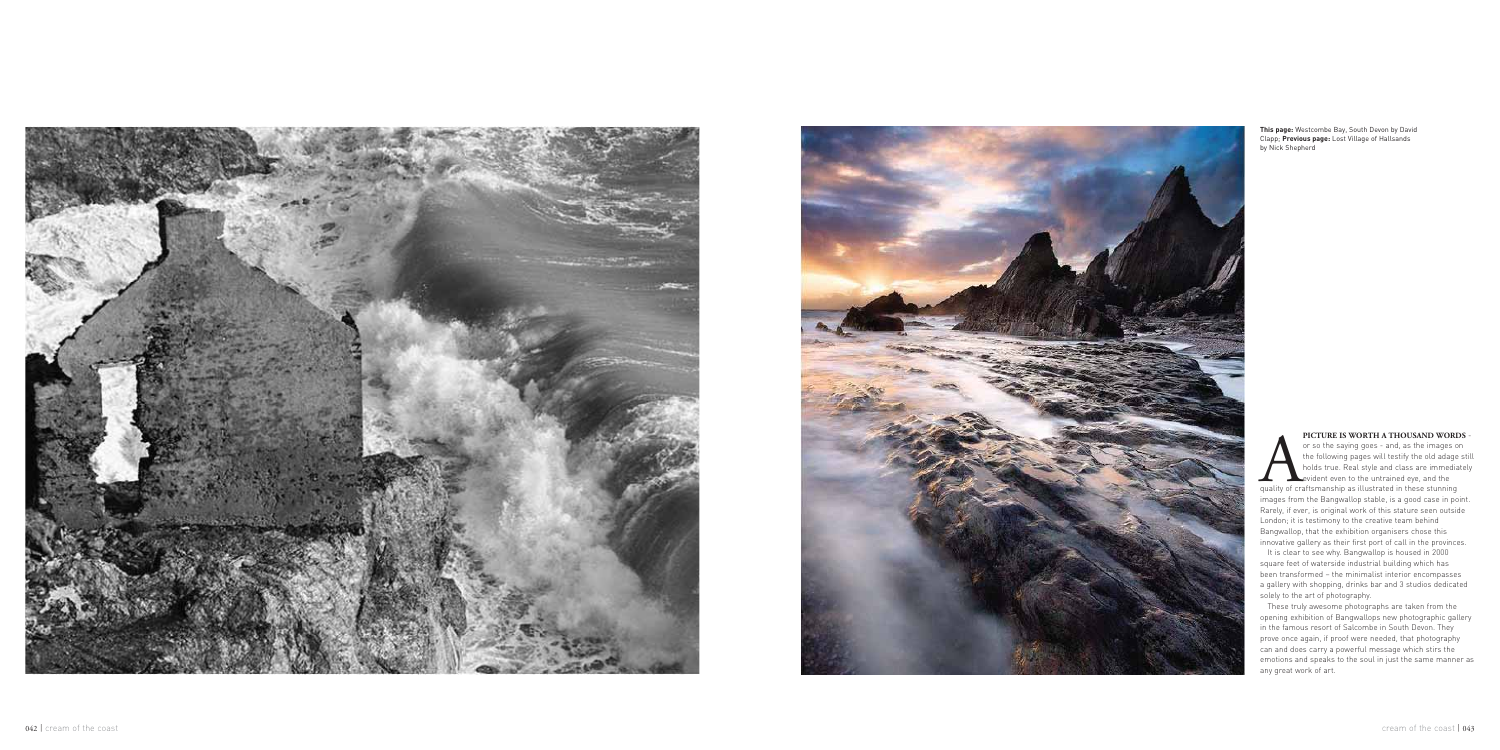



It is clear to see why. Bangwallop is housed in 2000 square feet of waterside industrial building which has been transformed – the minimalist interior encompasses a gallery with shopping, drinks bar and 3 studios dedicated solely to the art of photography.

**PICTURE IS WORTH A THOUSAND WORDS** or so the saying goes - and, as the images on the following pages will testify the old adage still holds true. Real style and class are immediately evident even to the untrained eye, and the quality of craftsmanship as illustrated in these stunning images from the Bangwallop stable, is a good case in point. Rarely, if ever, is original work of this stature seen outside London; it is testimony to the creative team behind Bangwallop, that the exhibition organisers chose this innovative gallery as their first port of call in the provinces.

These truly awesome photographs are taken from the opening exhibition of Bangwallops new photographic gallery in the famous resort of Salcombe in South Devon. They prove once again, if proof were needed, that photography can and does carry a powerful message which stirs the emotions and speaks to the soul in just the same manner as any great work of art.

**This page:** Westcombe Bay, South Devon by David Clapp; **Previous page:** Lost Village of Hallsands by Nick Shepherd